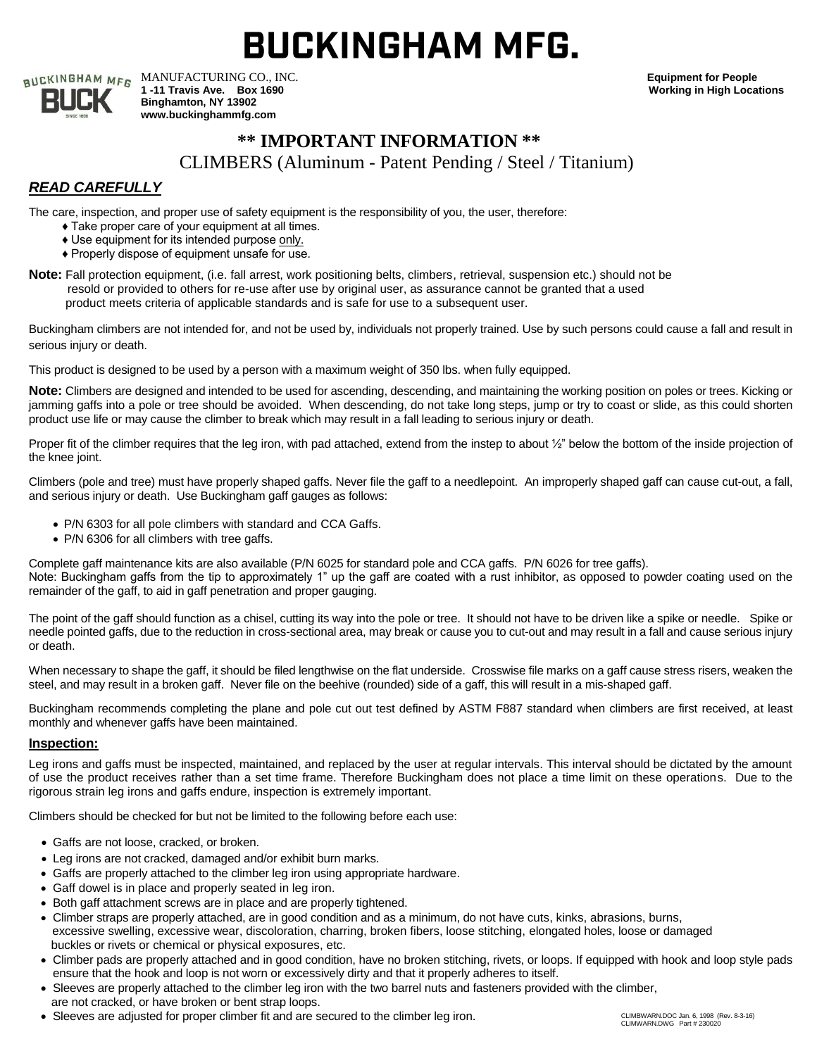# **BUCKINGHAM MFG.**

| CKINGHAM MFG |  |
|--------------|--|
| Γ<br>LT      |  |
| <b>1896</b>  |  |

MANUFACTURING CO., INC. **Equipment for People 1 -11 Travis Ave. Box 1690 Working in High Locations Binghamton, NY 13902 www.buckinghammfg.com**

# **\*\* IMPORTANT INFORMATION \*\***

CLIMBERS (Aluminum - Patent Pending / Steel / Titanium)

## *READ CAREFULLY*

The care, inspection, and proper use of safety equipment is the responsibility of you, the user, therefore:

- ♦ Take proper care of your equipment at all times.
- ♦ Use equipment for its intended purpose only.
- ♦ Properly dispose of equipment unsafe for use.
- **Note:** Fall protection equipment, (i.e. fall arrest, work positioning belts, climbers, retrieval, suspension etc.) should not be resold or provided to others for re-use after use by original user, as assurance cannot be granted that a used product meets criteria of applicable standards and is safe for use to a subsequent user.

Buckingham climbers are not intended for, and not be used by, individuals not properly trained. Use by such persons could cause a fall and result in serious injury or death.

This product is designed to be used by a person with a maximum weight of 350 lbs. when fully equipped.

Note: Climbers are designed and intended to be used for ascending, descending, and maintaining the working position on poles or trees. Kicking or jamming gaffs into a pole or tree should be avoided. When descending, do not take long steps, jump or try to coast or slide, as this could shorten product use life or may cause the climber to break which may result in a fall leading to serious injury or death.

Proper fit of the climber requires that the leg iron, with pad attached, extend from the instep to about  $\frac{1}{2}$ " below the bottom of the inside projection of the knee joint.

Climbers (pole and tree) must have properly shaped gaffs. Never file the gaff to a needlepoint. An improperly shaped gaff can cause cut-out, a fall, and serious injury or death. Use Buckingham gaff gauges as follows:

- P/N 6303 for all pole climbers with standard and CCA Gaffs.
- P/N 6306 for all climbers with tree gaffs.

Complete gaff maintenance kits are also available (P/N 6025 for standard pole and CCA gaffs. P/N 6026 for tree gaffs). Note: Buckingham gaffs from the tip to approximately 1" up the gaff are coated with a rust inhibitor, as opposed to powder coating used on the remainder of the gaff, to aid in gaff penetration and proper gauging.

The point of the gaff should function as a chisel, cutting its way into the pole or tree. It should not have to be driven like a spike or needle. Spike or needle pointed gaffs, due to the reduction in cross-sectional area, may break or cause you to cut-out and may result in a fall and cause serious injury or death.

When necessary to shape the gaff, it should be filed lengthwise on the flat underside. Crosswise file marks on a gaff cause stress risers, weaken the steel, and may result in a broken gaff. Never file on the beehive (rounded) side of a gaff, this will result in a mis-shaped gaff.

Buckingham recommends completing the plane and pole cut out test defined by ASTM F887 standard when climbers are first received, at least monthly and whenever gaffs have been maintained.

## **Inspection:**

Leg irons and gaffs must be inspected, maintained, and replaced by the user at regular intervals. This interval should be dictated by the amount of use the product receives rather than a set time frame. Therefore Buckingham does not place a time limit on these operations. Due to the rigorous strain leg irons and gaffs endure, inspection is extremely important.

Climbers should be checked for but not be limited to the following before each use:

- Gaffs are not loose, cracked, or broken.
- Leg irons are not cracked, damaged and/or exhibit burn marks.
- Gaffs are properly attached to the climber leg iron using appropriate hardware.
- Gaff dowel is in place and properly seated in leg iron.
- Both gaff attachment screws are in place and are properly tightened.
- Climber straps are properly attached, are in good condition and as a minimum, do not have cuts, kinks, abrasions, burns, excessive swelling, excessive wear, discoloration, charring, broken fibers, loose stitching, elongated holes, loose or damaged buckles or rivets or chemical or physical exposures, etc.
- Climber pads are properly attached and in good condition, have no broken stitching, rivets, or loops. If equipped with hook and loop style pads ensure that the hook and loop is not worn or excessively dirty and that it properly adheres to itself.
- Sleeves are properly attached to the climber leg iron with the two barrel nuts and fasteners provided with the climber, are not cracked, or have broken or bent strap loops.
- Sleeves are adjusted for proper climber fit and are secured to the climber leg iron. CLIMBWARN.DOC Jan. 6, 1998 (Rev. 8-3-16)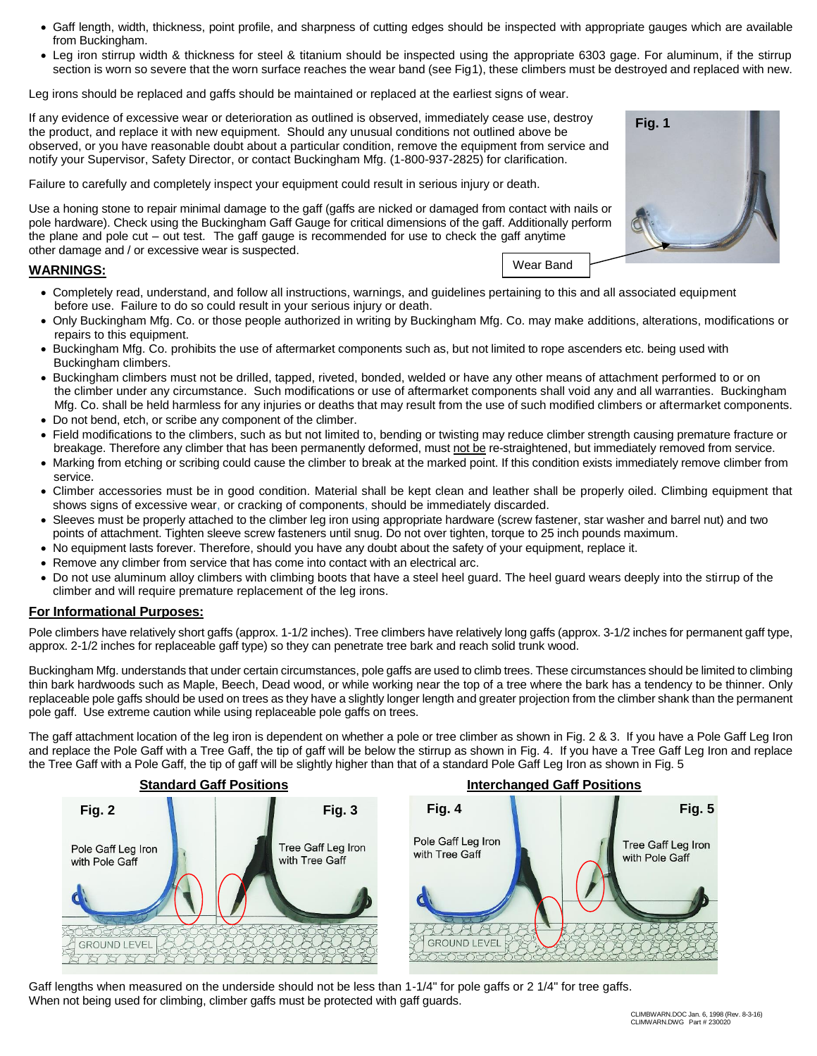- Gaff length, width, thickness, point profile, and sharpness of cutting edges should be inspected with appropriate gauges which are available from Buckingham.
- Leg iron stirrup width & thickness for steel & titanium should be inspected using the appropriate 6303 gage. For aluminum, if the stirrup section is worn so severe that the worn surface reaches the wear band (see Fig1), these climbers must be destroyed and replaced with new.

Leg irons should be replaced and gaffs should be maintained or replaced at the earliest signs of wear.

If any evidence of excessive wear or deterioration as outlined is observed, immediately cease use, destroy the product, and replace it with new equipment. Should any unusual conditions not outlined above be observed, or you have reasonable doubt about a particular condition, remove the equipment from service and notify your Supervisor, Safety Director, or contact Buckingham Mfg. (1-800-937-2825) for clarification.

Failure to carefully and completely inspect your equipment could result in serious injury or death.

Use a honing stone to repair minimal damage to the gaff (gaffs are nicked or damaged from contact with nails or pole hardware). Check using the Buckingham Gaff Gauge for critical dimensions of the gaff. Additionally perform the plane and pole cut – out test. The gaff gauge is recommended for use to check the gaff anytime other damage and / or excessive wear is suspected.

## **WARNINGS:**

- Completely read, understand, and follow all instructions, warnings, and guidelines pertaining to this and all associated equipment before use. Failure to do so could result in your serious injury or death.
- Only Buckingham Mfg. Co. or those people authorized in writing by Buckingham Mfg. Co. may make additions, alterations, modifications or repairs to this equipment.

Wear Band

- Buckingham Mfg. Co. prohibits the use of aftermarket components such as, but not limited to rope ascenders etc. being used with Buckingham climbers.
- Buckingham climbers must not be drilled, tapped, riveted, bonded, welded or have any other means of attachment performed to or on the climber under any circumstance. Such modifications or use of aftermarket components shall void any and all warranties. Buckingham Mfg. Co. shall be held harmless for any injuries or deaths that may result from the use of such modified climbers or aftermarket components.
- Do not bend, etch, or scribe any component of the climber.
- Field modifications to the climbers, such as but not limited to, bending or twisting may reduce climber strength causing premature fracture or breakage. Therefore any climber that has been permanently deformed, must not be re-straightened, but immediately removed from service.
- Marking from etching or scribing could cause the climber to break at the marked point. If this condition exists immediately remove climber from service.
- Climber accessories must be in good condition. Material shall be kept clean and leather shall be properly oiled. Climbing equipment that shows signs of excessive wear, or cracking of components, should be immediately discarded.
- Sleeves must be properly attached to the climber leg iron using appropriate hardware (screw fastener, star washer and barrel nut) and two points of attachment. Tighten sleeve screw fasteners until snug. Do not over tighten, torque to 25 inch pounds maximum.
- No equipment lasts forever. Therefore, should you have any doubt about the safety of your equipment, replace it.
- Remove any climber from service that has come into contact with an electrical arc.
- Do not use aluminum alloy climbers with climbing boots that have a steel heel guard. The heel guard wears deeply into the stirrup of the climber and will require premature replacement of the leg irons.

#### **For Informational Purposes:**

Pole climbers have relatively short gaffs (approx. 1-1/2 inches). Tree climbers have relatively long gaffs (approx. 3-1/2 inches for permanent gaff type, approx. 2-1/2 inches for replaceable gaff type) so they can penetrate tree bark and reach solid trunk wood.

Buckingham Mfg. understands that under certain circumstances, pole gaffs are used to climb trees. These circumstances should be limited to climbing thin bark hardwoods such as Maple, Beech, Dead wood, or while working near the top of a tree where the bark has a tendency to be thinner. Only replaceable pole gaffs should be used on trees as they have a slightly longer length and greater projection from the climber shank than the permanent pole gaff. Use extreme caution while using replaceable pole gaffs on trees.

The gaff attachment location of the leg iron is dependent on whether a pole or tree climber as shown in Fig. 2 & 3. If you have a Pole Gaff Leg Iron and replace the Pole Gaff with a Tree Gaff, the tip of gaff will be below the stirrup as shown in Fig. 4. If you have a Tree Gaff Leg Iron and replace the Tree Gaff with a Pole Gaff, the tip of gaff will be slightly higher than that of a standard Pole Gaff Leg Iron as shown in Fig. 5



Gaff lengths when measured on the underside should not be less than 1-1/4" for pole gaffs or 2 1/4" for tree gaffs. When not being used for climbing, climber gaffs must be protected with gaff guards.

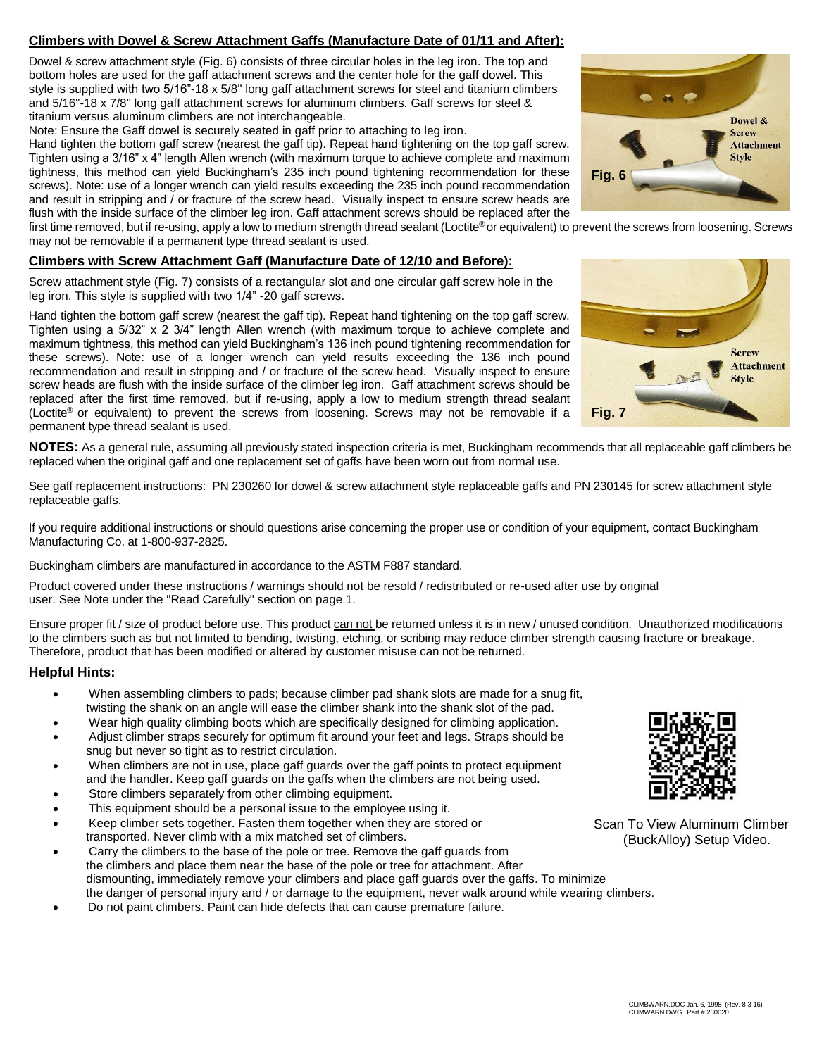## **Climbers with Dowel & Screw Attachment Gaffs (Manufacture Date of 01/11 and After):**

Dowel & screw attachment style (Fig. 6) consists of three circular holes in the leg iron. The top and bottom holes are used for the gaff attachment screws and the center hole for the gaff dowel. This style is supplied with two 5/16"-18 x 5/8" long gaff attachment screws for steel and titanium climbers and 5/16"-18 x 7/8" long gaff attachment screws for aluminum climbers. Gaff screws for steel & titanium versus aluminum climbers are not interchangeable.

Note: Ensure the Gaff dowel is securely seated in gaff prior to attaching to leg iron.

Hand tighten the bottom gaff screw (nearest the gaff tip). Repeat hand tightening on the top gaff screw. Tighten using a 3/16" x 4" length Allen wrench (with maximum torque to achieve complete and maximum tightness, this method can yield Buckingham's 235 inch pound tightening recommendation for these screws). Note: use of a longer wrench can yield results exceeding the 235 inch pound recommendation and result in stripping and / or fracture of the screw head. Visually inspect to ensure screw heads are flush with the inside surface of the climber leg iron. Gaff attachment screws should be replaced after the

first time removed, but if re-using, apply a low to medium strength thread sealant (Loctite® or equivalent) to prevent the screws from loosening. Screws may not be removable if a permanent type thread sealant is used.

## **Climbers with Screw Attachment Gaff (Manufacture Date of 12/10 and Before):**

Screw attachment style (Fig. 7) consists of a rectangular slot and one circular gaff screw hole in the leg iron. This style is supplied with two 1/4" -20 gaff screws.

Hand tighten the bottom gaff screw (nearest the gaff tip). Repeat hand tightening on the top gaff screw. Tighten using a  $5/32$ " x  $2$   $3/4$ " length Allen wrench (with maximum torque to achieve complete and maximum tightness, this method can yield Buckingham's 136 inch pound tightening recommendation for these screws). Note: use of a longer wrench can yield results exceeding the 136 inch pound recommendation and result in stripping and / or fracture of the screw head. Visually inspect to ensure screw heads are flush with the inside surface of the climber leg iron. Gaff attachment screws should be replaced after the first time removed, but if re-using, apply a low to medium strength thread sealant (Loctite® or equivalent) to prevent the screws from loosening. Screws may not be removable if a permanent type thread sealant is used.





**NOTES:** As a general rule, assuming all previously stated inspection criteria is met, Buckingham recommends that all replaceable gaff climbers be replaced when the original gaff and one replacement set of gaffs have been worn out from normal use.

See gaff replacement instructions: PN 230260 for dowel & screw attachment style replaceable gaffs and PN 230145 for screw attachment style replaceable gaffs.

If you require additional instructions or should questions arise concerning the proper use or condition of your equipment, contact Buckingham Manufacturing Co. at 1-800-937-2825.

Buckingham climbers are manufactured in accordance to the ASTM F887 standard.

Product covered under these instructions / warnings should not be resold / redistributed or re-used after use by original user. See Note under the "Read Carefully" section on page 1.

Ensure proper fit / size of product before use. This product can not be returned unless it is in new / unused condition. Unauthorized modifications to the climbers such as but not limited to bending, twisting, etching, or scribing may reduce climber strength causing fracture or breakage. Therefore, product that has been modified or altered by customer misuse can not be returned.

## **Helpful Hints:**

- When assembling climbers to pads; because climber pad shank slots are made for a snug fit, twisting the shank on an angle will ease the climber shank into the shank slot of the pad.
- Wear high quality climbing boots which are specifically designed for climbing application.
- Adjust climber straps securely for optimum fit around your feet and legs. Straps should be snug but never so tight as to restrict circulation.
- When climbers are not in use, place gaff guards over the gaff points to protect equipment and the handler. Keep gaff guards on the gaffs when the climbers are not being used.
- Store climbers separately from other climbing equipment.
- This equipment should be a personal issue to the employee using it.
- Keep climber sets together. Fasten them together when they are stored or transported. Never climb with a mix matched set of climbers.
- Carry the climbers to the base of the pole or tree. Remove the gaff guards from the climbers and place them near the base of the pole or tree for attachment. After dismounting, immediately remove your climbers and place gaff guards over the gaffs. To minimize the danger of personal injury and / or damage to the equipment, never walk around while wearing climbers.
- Do not paint climbers. Paint can hide defects that can cause premature failure.



Scan To View Aluminum Climber (BuckAlloy) Setup Video.